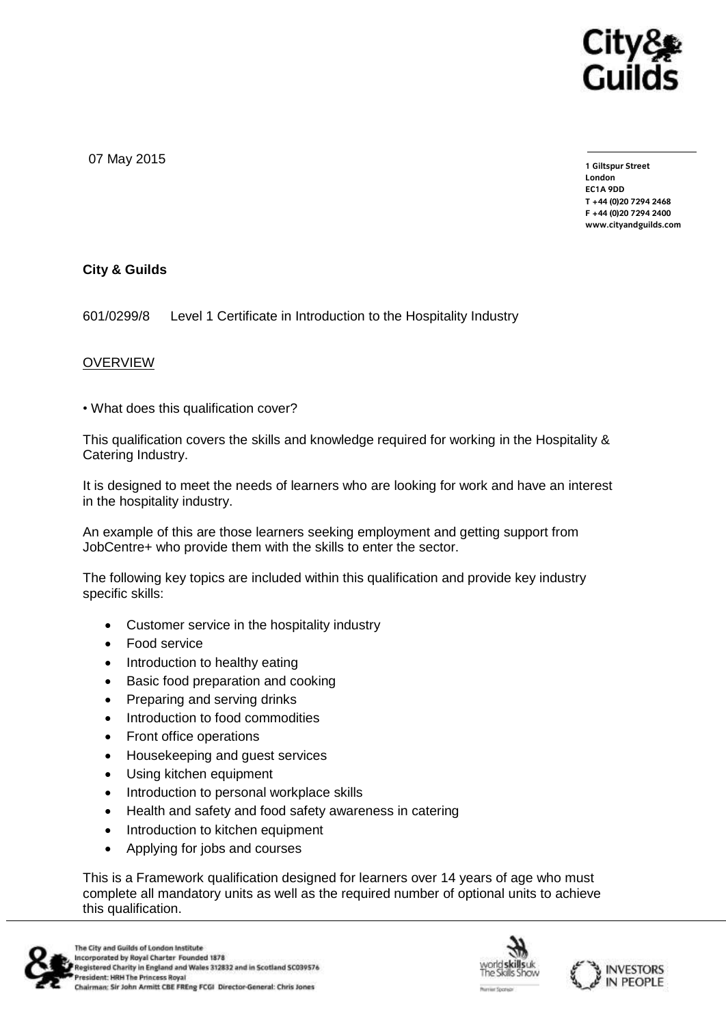

07 May 2015

**1 Giltspur Street EC1A 9DD** T +44 (0) 20 7 294 2468 **T +44 (0)20 7294 246[8](http://www.cityandguilds.com/) F +44 (0)20 7294 2400 [www.cityandguilds.com](http://www.cityandguilds.com/)**

## **City & Guilds**

601/0299/8 Level 1 Certificate in Introduction to the Hospitality Industry

## **OVERVIEW**

• What does this qualification cover?

This qualification covers the skills and knowledge required for working in the Hospitality & Catering Industry.

It is designed to meet the needs of learners who are looking for work and have an interest in the hospitality industry.

An example of this are those learners seeking employment and getting support from JobCentre+ who provide them with the skills to enter the sector.

The following key topics are included within this qualification and provide key industry specific skills:

- Customer service in the hospitality industry
- Food service
- Introduction to healthy eating
- Basic food preparation and cooking
- Preparing and serving drinks
- Introduction to food commodities
- Front office operations
- Housekeeping and guest services
- Using kitchen equipment
- Introduction to personal workplace skills
- Health and safety and food safety awareness in catering
- Introduction to kitchen equipment
- Applying for jobs and courses

This is a Framework qualification designed for learners over 14 years of age who must complete all mandatory units as well as the required number of optional units to achieve this qualification.